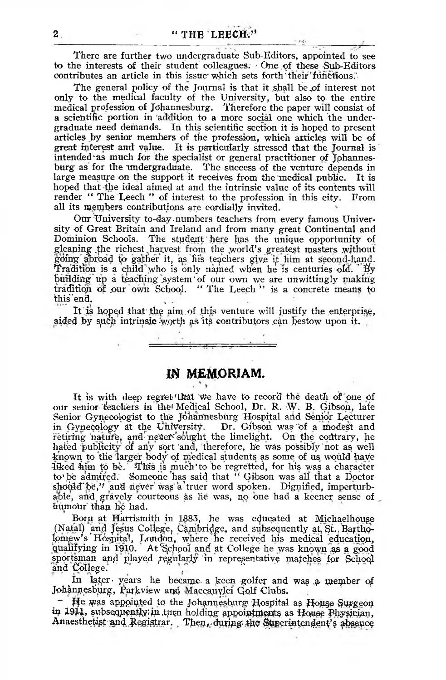$1 - 1$ 

There are further two undergraduate Sub-Editors, appointed to see to the interests of their student colleagues; ' One of these Sub-Editors contributes an article in this issue which sets forth their functions.

The general policy of the Journal is that it shall be of interest not only to the medical faculty of the University, but also to the entire medical profession of Johannesburg. Therefore the paper will consist of a scientific portion in 'addition to a more social one which the undergraduate need demands. In this scientific section it is hoped to present articles by senior members of the profession, which articles will be of great interest and value. It is particularly stressed that the Journal is intended' as much for the specialist or general practitioner of Johannesburg as for the undergraduate. The success of the venture depends in large measure on the support it receives from the medical public. It is hoped that the ideal aimed at and the intrinsic value of its contents will render *"* The Leech " of interest to the profession in this city. From all its members contributions are cordially invited.

Otir University to-day .numbers teachers from every famous University of Great Britain and Ireland and from many great Continental and The student here has the unique opportunity of gleaning the richest harvest from the world's greatest masters without going' Abroad *to* gather it, as his teachers give if him at second-hand. Tradition is a child who is only named when he is centuries old. By building up a teaching system' of our own we are unwittingly making tradition of our own School. " The Leech " is a concrete means to this end.

It is hoped that the aim of this venture will justify the enterprise, aided by such intrinsic-worth as its contributors can bestow upon it.

*IH* **MEMORIAM.**

It is with deep regret that we have to record the death of one of our senior teachers in the Medical School, Dr. R. W. B. Gibson, late Senior Gynecologist to the Johannesburg Hospital and Senior Lecturer in Gynecology at the University. Dr. Gibson was of a modest and retiring nature, and never sought the limelight. On the contrary, he hated publicity of any sort and, therefore, he was possibly not as well -known to the larger body' of medical students as some of us would have liked him to be. This is much to be regretted, for his was a character to\be admired. Someone has said that " Gibson was all that a Doctor should be," and never was a truer word spoken. Dignified, imperturbable, and gravely courteous as he was, no one had a keener sense of humour than he had.

Born at Harrismith in 1883, he was educated at Michaelhouse (Natal) and Jesus College, Cambridge, and subsequently at St. Bartho-Iomew's Hospital, London, where he received his medical education, qualifying in 1910. At School and at College he was known as a good sportsman and played regularly in representative matches for School and College.

In la^er- years ho became- a keen golfer and wa\$ *q* member of Johannesburg, Parkview and Maccauylei Golf Clubs.

 $-$  He was appointed to the Johannesburg Hospital as House Surgeon in 1911, subsequently in turn holding appointments as House Physician, Anaesthetist and Registrar. Then, during the Superintendent's absence